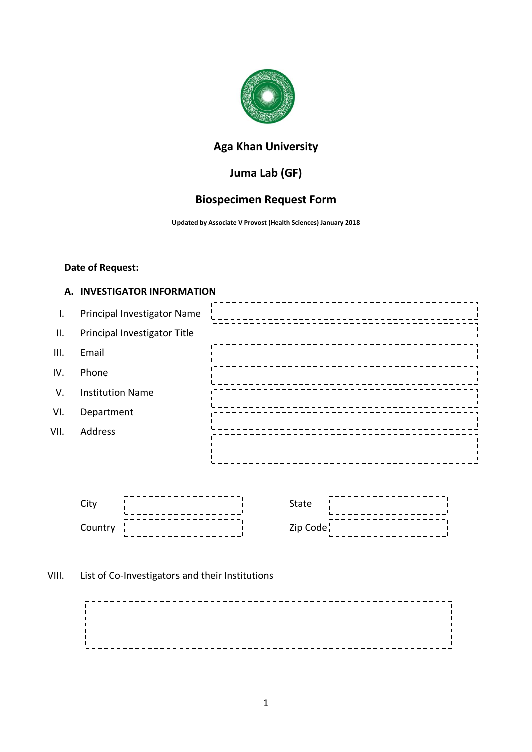

# **Aga Khan University**

# **Juma Lab (GF)**

# **Biospecimen Request Form**

**Updated by Associate V Provost (Health Sciences) January 2018**

#### **Date of Request:**

#### **A. INVESTIGATOR INFORMATION**

| $\mathsf{L}$    | Principal Investigator Name  |  |
|-----------------|------------------------------|--|
| $\mathbf{II}$ . | Principal Investigator Title |  |
| III.            | Email                        |  |
| IV.             | Phone                        |  |
| V.              | <b>Institution Name</b>      |  |
| VI.             | Department                   |  |
| VII.            | Address                      |  |
|                 |                              |  |
|                 |                              |  |



## VIII. List of Co-Investigators and their Institutions

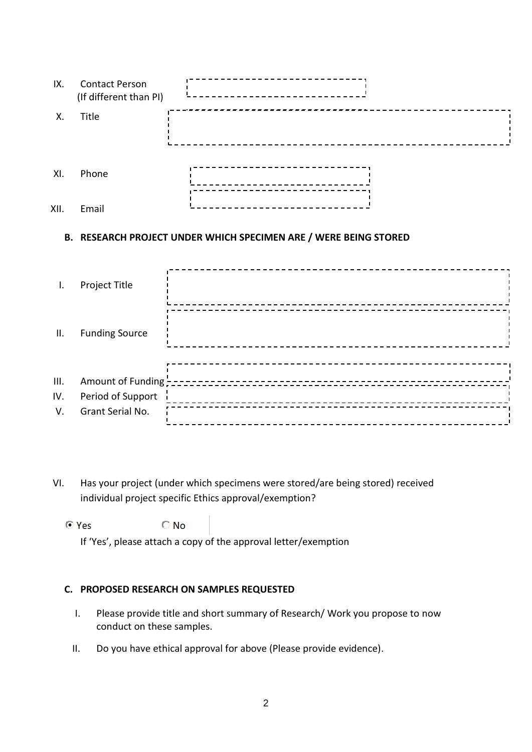| IX.  | <b>Contact Person</b><br>(If different than PI) |  |
|------|-------------------------------------------------|--|
| Χ.   | Title                                           |  |
| XI.  | Phone                                           |  |
| XII. | Email                                           |  |

## **B. RESEARCH PROJECT UNDER WHICH SPECIMEN ARE / WERE BEING STORED**

| Ι.              | Project Title                         |  |
|-----------------|---------------------------------------|--|
| $\mathbf{II}$ . | <b>Funding Source</b>                 |  |
| III.            |                                       |  |
| IV.<br>V.       | Period of Support<br>Grant Serial No. |  |

VI. Has your project (under which specimens were stored/are being stored) received individual project specific Ethics approval/exemption?

 $\odot$  Yes  $\bigcirc$  No

If 'Yes', please attach a copy of the approval letter/exemption

### **C. PROPOSED RESEARCH ON SAMPLES REQUESTED**

- I. Please provide title and short summary of Research/ Work you propose to now conduct on these samples.
- II. Do you have ethical approval for above (Please provide evidence).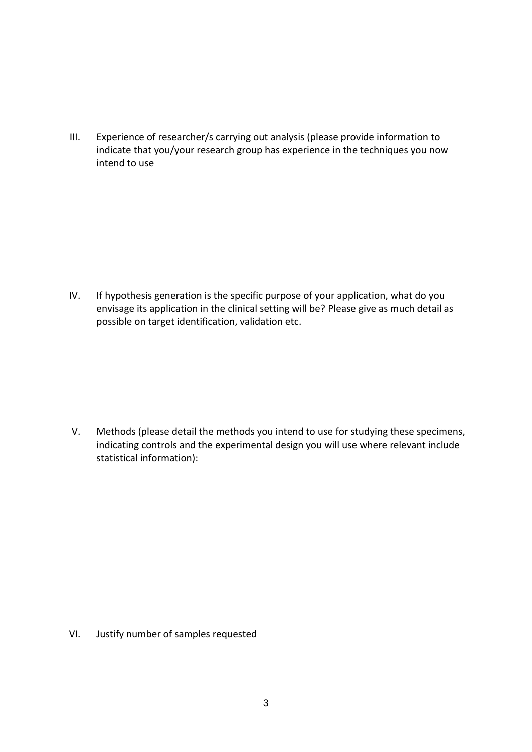III. Experience of researcher/s carrying out analysis (please provide information to indicate that you/your research group has experience in the techniques you now intend to use

IV. If hypothesis generation is the specific purpose of your application, what do you envisage its application in the clinical setting will be? Please give as much detail as possible on target identification, validation etc.

V. Methods (please detail the methods you intend to use for studying these specimens, indicating controls and the experimental design you will use where relevant include statistical information):

VI. Justify number of samples requested